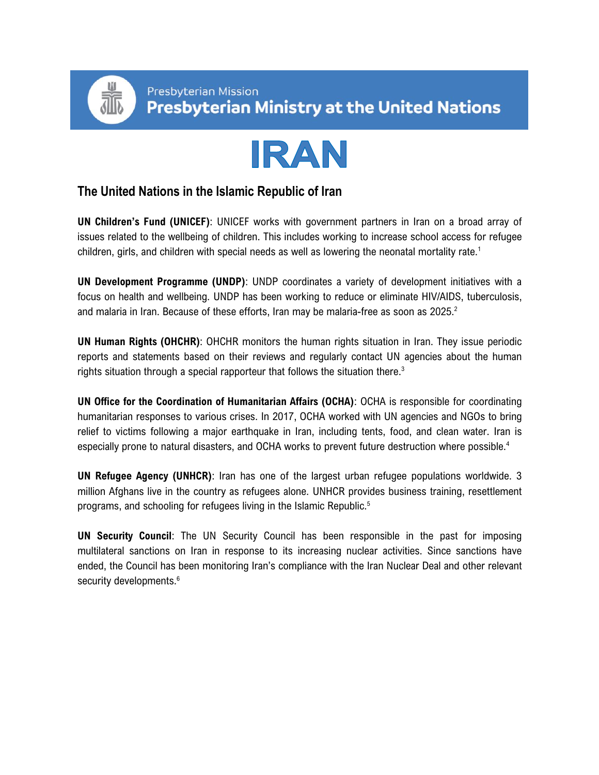



## **The United Nations in the Islamic Republic of Iran**

**UN Children's Fund (UNICEF)**: UNICEF works with government partners in Iran on a broad array of issues related to the wellbeing of children. This includes working to increase school access for refugee children, girls, and children with special needs as well as lowering the neonatal mortality rate.<sup>1</sup>

**UN Development Programme (UNDP)**: UNDP coordinates a variety of development initiatives with a focus on health and wellbeing. UNDP has been working to reduce or eliminate HIV/AIDS, tuberculosis, and malaria in Iran. Because of these efforts, Iran may be malaria-free as soon as  $2025$ .<sup>2</sup>

**UN Human Rights (OHCHR)**: OHCHR monitors the human rights situation in Iran. They issue periodic reports and statements based on their reviews and regularly contact UN agencies about the human rights situation through a special rapporteur that follows the situation there.<sup>3</sup>

**UN Office for the Coordination of Humanitarian Affairs (OCHA)**: OCHA is responsible for coordinating humanitarian responses to various crises. In 2017, OCHA worked with UN agencies and NGOs to bring relief to victims following a major earthquake in Iran, including tents, food, and clean water. Iran is especially prone to natural disasters, and OCHA works to prevent future destruction where possible.<sup>4</sup>

**UN Refugee Agency (UNHCR)**: Iran has one of the largest urban refugee populations worldwide. 3 million Afghans live in the country as refugees alone. UNHCR provides business training, resettlement programs, and schooling for refugees living in the Islamic Republic.<sup>5</sup>

**UN Security Council**: The UN Security Council has been responsible in the past for imposing multilateral sanctions on Iran in response to its increasing nuclear activities. Since sanctions have ended, the Council has been monitoring Iran's compliance with the Iran Nuclear Deal and other relevant security developments.<sup>6</sup>